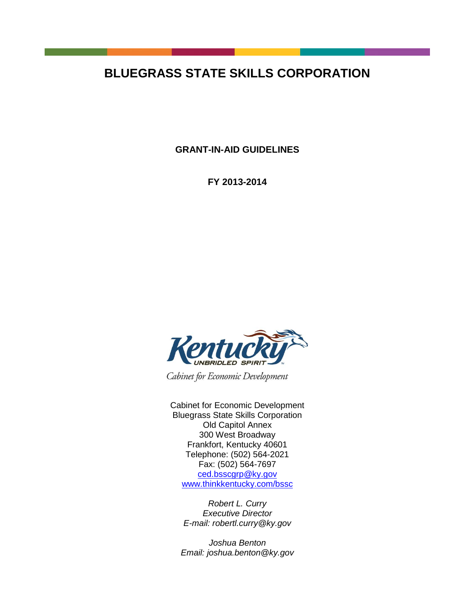# **BLUEGRASS STATE SKILLS CORPORATION**

**GRANT-IN-AID GUIDELINES** 

**FY 2013-2014**



Cabinet for Economic Development

Cabinet for Economic Development Bluegrass State Skills Corporation Old Capitol Annex 300 West Broadway Frankfort, Kentucky 40601 Telephone: (502) 564-2021 Fax: (502) 564-7697 [ced.bsscgrp@ky.gov](mailto:ced.bsscgrp@ky.gov) [www.thinkkentucky.com/bssc](http://www.thinkkentucky.com/bssc)

*Robert L. Curry Executive Director E-mail: [robertl.curry@ky.gov](mailto:robertl.curry@ky.gov)*

*Joshua Benton Email: joshua.benton@ky.gov*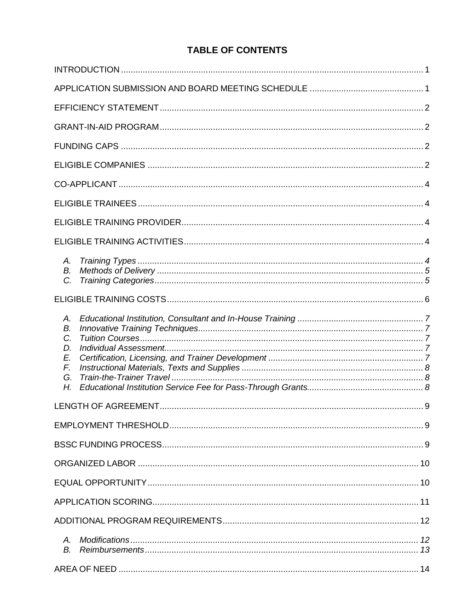## **TABLE OF CONTENTS**

| А.<br>B.<br>$C_{\cdot}$                      |  |
|----------------------------------------------|--|
|                                              |  |
| А.<br>В.<br>C.<br>D.<br>E.<br>F.<br>G.<br>Η. |  |
|                                              |  |
|                                              |  |
|                                              |  |
|                                              |  |
|                                              |  |
|                                              |  |
|                                              |  |
| Α.<br>В.                                     |  |
|                                              |  |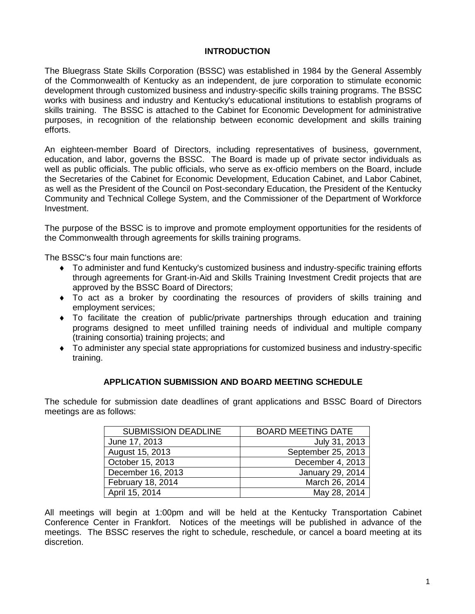## **INTRODUCTION**

The Bluegrass State Skills Corporation (BSSC) was established in 1984 by the General Assembly of the Commonwealth of Kentucky as an independent, de jure corporation to stimulate economic development through customized business and industry-specific skills training programs. The BSSC works with business and industry and Kentucky's educational institutions to establish programs of skills training. The BSSC is attached to the Cabinet for Economic Development for administrative purposes, in recognition of the relationship between economic development and skills training efforts.

An eighteen-member Board of Directors, including representatives of business, government, education, and labor, governs the BSSC. The Board is made up of private sector individuals as well as public officials. The public officials, who serve as ex-officio members on the Board, include the Secretaries of the Cabinet for Economic Development, Education Cabinet, and Labor Cabinet, as well as the President of the Council on Post-secondary Education, the President of the Kentucky Community and Technical College System, and the Commissioner of the Department of Workforce Investment.

The purpose of the BSSC is to improve and promote employment opportunities for the residents of the Commonwealth through agreements for skills training programs.

The BSSC's four main functions are:

- To administer and fund Kentucky's customized business and industry-specific training efforts through agreements for Grant-in-Aid and Skills Training Investment Credit projects that are approved by the BSSC Board of Directors;
- To act as a broker by coordinating the resources of providers of skills training and employment services;
- To facilitate the creation of public/private partnerships through education and training programs designed to meet unfilled training needs of individual and multiple company (training consortia) training projects; and
- To administer any special state appropriations for customized business and industry-specific training.

## **APPLICATION SUBMISSION AND BOARD MEETING SCHEDULE**

The schedule for submission date deadlines of grant applications and BSSC Board of Directors meetings are as follows:

| <b>SUBMISSION DEADLINE</b> | <b>BOARD MEETING DATE</b> |
|----------------------------|---------------------------|
| June 17, 2013              | July 31, 2013             |
| August 15, 2013            | September 25, 2013        |
| October 15, 2013           | December 4, 2013          |
| December 16, 2013          | January 29, 2014          |
| February 18, 2014          | March 26, 2014            |
| April 15, 2014             | May 28, 2014              |

All meetings will begin at 1:00pm and will be held at the Kentucky Transportation Cabinet Conference Center in Frankfort. Notices of the meetings will be published in advance of the meetings. The BSSC reserves the right to schedule, reschedule, or cancel a board meeting at its discretion.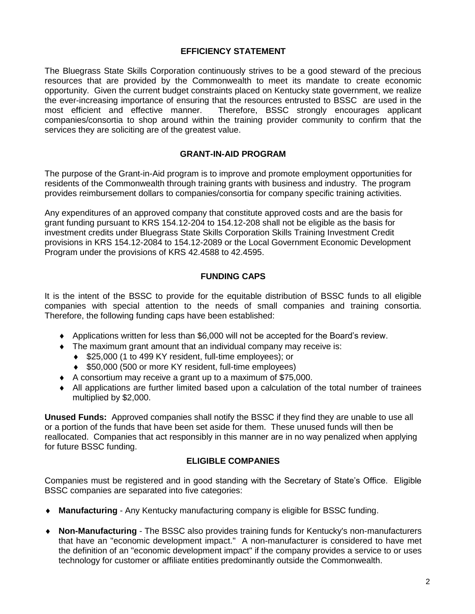## **EFFICIENCY STATEMENT**

The Bluegrass State Skills Corporation continuously strives to be a good steward of the precious resources that are provided by the Commonwealth to meet its mandate to create economic opportunity. Given the current budget constraints placed on Kentucky state government, we realize the ever-increasing importance of ensuring that the resources entrusted to BSSC are used in the most efficient and effective manner. Therefore, BSSC strongly encourages applicant companies/consortia to shop around within the training provider community to confirm that the services they are soliciting are of the greatest value.

#### **GRANT-IN-AID PROGRAM**

The purpose of the Grant-in-Aid program is to improve and promote employment opportunities for residents of the Commonwealth through training grants with business and industry. The program provides reimbursement dollars to companies/consortia for company specific training activities.

Any expenditures of an approved company that constitute approved costs and are the basis for grant funding pursuant to KRS 154.12-204 to 154.12-208 shall not be eligible as the basis for investment credits under Bluegrass State Skills Corporation Skills Training Investment Credit provisions in KRS 154.12-2084 to 154.12-2089 or the Local Government Economic Development Program under the provisions of KRS 42.4588 to 42.4595.

## **FUNDING CAPS**

It is the intent of the BSSC to provide for the equitable distribution of BSSC funds to all eligible companies with special attention to the needs of small companies and training consortia. Therefore, the following funding caps have been established:

- Applications written for less than \$6,000 will not be accepted for the Board's review.
- The maximum grant amount that an individual company may receive is:
	- ◆ \$25,000 (1 to 499 KY resident, full-time employees); or
	- ◆ \$50,000 (500 or more KY resident, full-time employees)
- A consortium may receive a grant up to a maximum of \$75,000.
- All applications are further limited based upon a calculation of the total number of trainees multiplied by \$2,000.

**Unused Funds:** Approved companies shall notify the BSSC if they find they are unable to use all or a portion of the funds that have been set aside for them. These unused funds will then be reallocated. Companies that act responsibly in this manner are in no way penalized when applying for future BSSC funding.

## **ELIGIBLE COMPANIES**

Companies must be registered and in good standing with the Secretary of State's Office. Eligible BSSC companies are separated into five categories:

- **Manufacturing**  Any Kentucky manufacturing company is eligible for BSSC funding.
- **Non-Manufacturing**  The BSSC also provides training funds for Kentucky's non-manufacturers that have an "economic development impact." A non-manufacturer is considered to have met the definition of an "economic development impact" if the company provides a service to or uses technology for customer or affiliate entities predominantly outside the Commonwealth.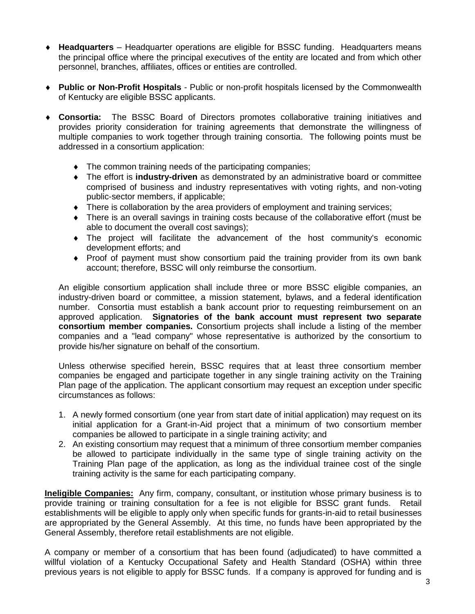- **Headquarters** Headquarter operations are eligible for BSSC funding. Headquarters means the principal office where the principal executives of the entity are located and from which other personnel, branches, affiliates, offices or entities are controlled.
- **Public or Non-Profit Hospitals** Public or non-profit hospitals licensed by the Commonwealth of Kentucky are eligible BSSC applicants.
- **Consortia:** The BSSC Board of Directors promotes collaborative training initiatives and provides priority consideration for training agreements that demonstrate the willingness of multiple companies to work together through training consortia. The following points must be addressed in a consortium application:
	- The common training needs of the participating companies;
	- The effort is **industry-driven** as demonstrated by an administrative board or committee comprised of business and industry representatives with voting rights, and non-voting public-sector members, if applicable;
	- There is collaboration by the area providers of employment and training services;
	- There is an overall savings in training costs because of the collaborative effort (must be able to document the overall cost savings);
	- The project will facilitate the advancement of the host community's economic development efforts; and
	- Proof of payment must show consortium paid the training provider from its own bank account; therefore, BSSC will only reimburse the consortium.

An eligible consortium application shall include three or more BSSC eligible companies, an industry-driven board or committee, a mission statement, bylaws, and a federal identification number. Consortia must establish a bank account prior to requesting reimbursement on an approved application. **Signatories of the bank account must represent two separate consortium member companies.** Consortium projects shall include a listing of the member companies and a "lead company" whose representative is authorized by the consortium to provide his/her signature on behalf of the consortium.

Unless otherwise specified herein, BSSC requires that at least three consortium member companies be engaged and participate together in any single training activity on the Training Plan page of the application. The applicant consortium may request an exception under specific circumstances as follows:

- 1. A newly formed consortium (one year from start date of initial application) may request on its initial application for a Grant-in-Aid project that a minimum of two consortium member companies be allowed to participate in a single training activity; and
- 2. An existing consortium may request that a minimum of three consortium member companies be allowed to participate individually in the same type of single training activity on the Training Plan page of the application, as long as the individual trainee cost of the single training activity is the same for each participating company.

**Ineligible Companies:** Any firm, company, consultant, or institution whose primary business is to provide training or training consultation for a fee is not eligible for BSSC grant funds. Retail establishments will be eligible to apply only when specific funds for grants-in-aid to retail businesses are appropriated by the General Assembly. At this time, no funds have been appropriated by the General Assembly, therefore retail establishments are not eligible.

A company or member of a consortium that has been found (adjudicated) to have committed a willful violation of a Kentucky Occupational Safety and Health Standard (OSHA) within three previous years is not eligible to apply for BSSC funds. If a company is approved for funding and is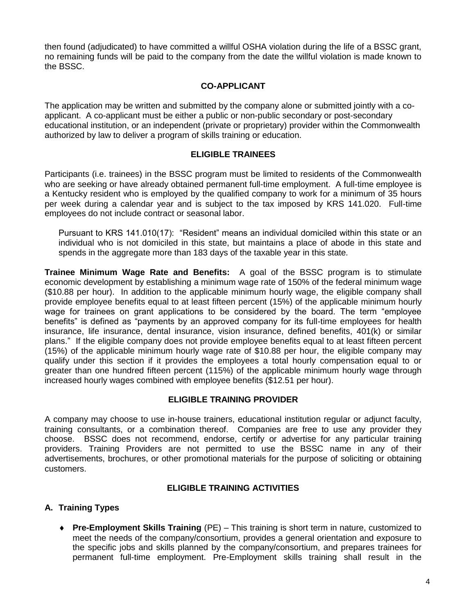then found (adjudicated) to have committed a willful OSHA violation during the life of a BSSC grant, no remaining funds will be paid to the company from the date the willful violation is made known to the BSSC.

## **CO-APPLICANT**

The application may be written and submitted by the company alone or submitted jointly with a coapplicant. A co-applicant must be either a public or non-public secondary or post-secondary educational institution, or an independent (private or proprietary) provider within the Commonwealth authorized by law to deliver a program of skills training or education.

## **ELIGIBLE TRAINEES**

Participants (i.e. trainees) in the BSSC program must be limited to residents of the Commonwealth who are seeking or have already obtained permanent full-time employment. A full-time employee is a Kentucky resident who is employed by the qualified company to work for a minimum of 35 hours per week during a calendar year and is subject to the tax imposed by KRS 141.020. Full-time employees do not include contract or seasonal labor.

Pursuant to KRS 141.010(17): "Resident" means an individual domiciled within this state or an individual who is not domiciled in this state, but maintains a place of abode in this state and spends in the aggregate more than 183 days of the taxable year in this state*.*

**Trainee Minimum Wage Rate and Benefits:** A goal of the BSSC program is to stimulate economic development by establishing a minimum wage rate of 150% of the federal minimum wage (\$10.88 per hour). In addition to the applicable minimum hourly wage, the eligible company shall provide employee benefits equal to at least fifteen percent (15%) of the applicable minimum hourly wage for trainees on grant applications to be considered by the board. The term "employee benefits" is defined as "payments by an approved company for its full-time employees for health insurance, life insurance, dental insurance, vision insurance, defined benefits, 401(k) or similar plans." If the eligible company does not provide employee benefits equal to at least fifteen percent (15%) of the applicable minimum hourly wage rate of \$10.88 per hour, the eligible company may qualify under this section if it provides the employees a total hourly compensation equal to or greater than one hundred fifteen percent (115%) of the applicable minimum hourly wage through increased hourly wages combined with employee benefits (\$12.51 per hour).

## **ELIGIBLE TRAINING PROVIDER**

A company may choose to use in-house trainers, educational institution regular or adjunct faculty, training consultants, or a combination thereof. Companies are free to use any provider they choose. BSSC does not recommend, endorse, certify or advertise for any particular training providers. Training Providers are not permitted to use the BSSC name in any of their advertisements, brochures, or other promotional materials for the purpose of soliciting or obtaining customers.

## **ELIGIBLE TRAINING ACTIVITIES**

## **A. Training Types**

 **Pre-Employment Skills Training** (PE) – This training is short term in nature, customized to meet the needs of the company/consortium, provides a general orientation and exposure to the specific jobs and skills planned by the company/consortium, and prepares trainees for permanent full-time employment. Pre-Employment skills training shall result in the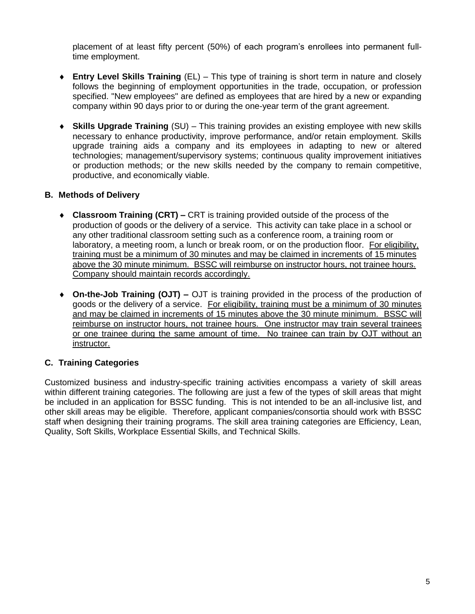placement of at least fifty percent (50%) of each program's enrollees into permanent fulltime employment.

- **Entry Level Skills Training** (EL) This type of training is short term in nature and closely follows the beginning of employment opportunities in the trade, occupation, or profession specified. "New employees" are defined as employees that are hired by a new or expanding company within 90 days prior to or during the one-year term of the grant agreement.
- **Skills Upgrade Training** (SU) This training provides an existing employee with new skills necessary to enhance productivity, improve performance, and/or retain employment. Skills upgrade training aids a company and its employees in adapting to new or altered technologies; management/supervisory systems; continuous quality improvement initiatives or production methods; or the new skills needed by the company to remain competitive, productive, and economically viable.

## **B. Methods of Delivery**

- **Classroom Training (CRT) –** CRT is training provided outside of the process of the production of goods or the delivery of a service. This activity can take place in a school or any other traditional classroom setting such as a conference room, a training room or laboratory, a meeting room, a lunch or break room, or on the production floor. For eligibility, training must be a minimum of 30 minutes and may be claimed in increments of 15 minutes above the 30 minute minimum. BSSC will reimburse on instructor hours, not trainee hours. Company should maintain records accordingly.
- **On-the-Job Training (OJT) –** OJT is training provided in the process of the production of goods or the delivery of a service. For eligibility, training must be a minimum of 30 minutes and may be claimed in increments of 15 minutes above the 30 minute minimum. BSSC will reimburse on instructor hours, not trainee hours. One instructor may train several trainees or one trainee during the same amount of time. No trainee can train by OJT without an instructor.

## **C. Training Categories**

Customized business and industry-specific training activities encompass a variety of skill areas within different training categories. The following are just a few of the types of skill areas that might be included in an application for BSSC funding. This is not intended to be an all-inclusive list, and other skill areas may be eligible. Therefore, applicant companies/consortia should work with BSSC staff when designing their training programs. The skill area training categories are Efficiency, Lean, Quality, Soft Skills, Workplace Essential Skills, and Technical Skills.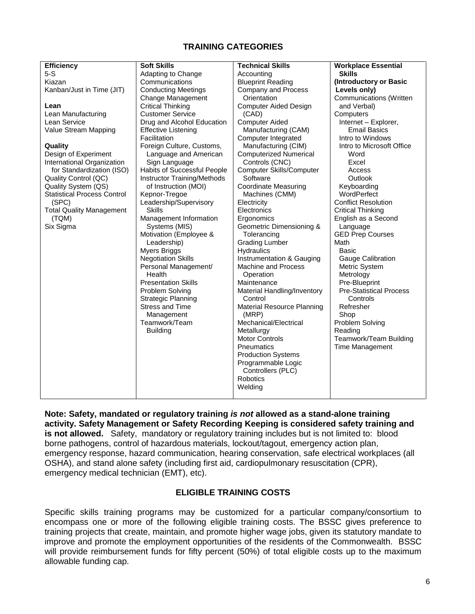## **TRAINING CATEGORIES**

| <b>Efficiency</b>                  | <b>Soft Skills</b>          | <b>Technical Skills</b>           | <b>Workplace Essential</b>     |
|------------------------------------|-----------------------------|-----------------------------------|--------------------------------|
| $5-S$                              | Adapting to Change          | Accounting                        | <b>Skills</b>                  |
| Kiazan                             | Communications              | <b>Blueprint Reading</b>          | (Introductory or Basic         |
| Kanban/Just in Time (JIT)          | <b>Conducting Meetings</b>  | <b>Company and Process</b>        | Levels only)                   |
|                                    | Change Management           | Orientation                       | <b>Communications (Written</b> |
| Lean                               | <b>Critical Thinking</b>    | Computer Aided Design             | and Verbal)                    |
| Lean Manufacturing                 | <b>Customer Service</b>     | (CAD)                             | Computers                      |
| Lean Service                       | Drug and Alcohol Education  | <b>Computer Aided</b>             | Internet - Explorer,           |
| Value Stream Mapping               | <b>Effective Listening</b>  | Manufacturing (CAM)               | <b>Email Basics</b>            |
|                                    | Facilitation                | Computer Integrated               | Intro to Windows               |
| Quality                            | Foreign Culture, Customs,   | Manufacturing (CIM)               | Intro to Microsoft Office      |
| Design of Experiment               | Language and American       | <b>Computerized Numerical</b>     | Word                           |
| International Organization         | Sign Language               | Controls (CNC)                    | Excel                          |
| for Standardization (ISO)          | Habits of Successful People | <b>Computer Skills/Computer</b>   | Access                         |
| Quality Control (QC)               | Instructor Training/Methods | Software                          | Outlook                        |
| Quality System (QS)                | of Instruction (MOI)        | <b>Coordinate Measuring</b>       | Keyboarding                    |
| <b>Statistical Process Control</b> | Kepnor-Tregoe               | Machines (CMM)                    | WordPerfect                    |
| (SPC)                              | Leadership/Supervisory      | Electricity                       | <b>Conflict Resolution</b>     |
| <b>Total Quality Management</b>    | <b>Skills</b>               | Electronics                       | <b>Critical Thinking</b>       |
| (TQM)                              | Management Information      | Ergonomics                        | English as a Second            |
| Six Sigma                          | Systems (MIS)               | Geometric Dimensioning &          | Language                       |
|                                    | Motivation (Employee &      | Tolerancing                       | <b>GED Prep Courses</b>        |
|                                    | Leadership)                 | <b>Grading Lumber</b>             | Math                           |
|                                    | <b>Myers Briggs</b>         | Hydraulics                        | Basic                          |
|                                    | <b>Negotiation Skills</b>   | Instrumentation & Gauging         | <b>Gauge Calibration</b>       |
|                                    | Personal Management/        | <b>Machine and Process</b>        | Metric System                  |
|                                    | Health                      | Operation                         | Metrology                      |
|                                    | <b>Presentation Skills</b>  | Maintenance                       | Pre-Blueprint                  |
|                                    | Problem Solving             | Material Handling/Inventory       | <b>Pre-Statistical Process</b> |
|                                    | <b>Strategic Planning</b>   | Control                           | Controls                       |
|                                    | <b>Stress and Time</b>      | <b>Material Resource Planning</b> | Refresher                      |
|                                    | Management                  | (MRP)                             | Shop                           |
|                                    | Teamwork/Team               | Mechanical/Electrical             | Problem Solving                |
|                                    | <b>Building</b>             | Metallurgy                        | Reading                        |
|                                    |                             | <b>Motor Controls</b>             | Teamwork/Team Building         |
|                                    |                             | <b>Pneumatics</b>                 | Time Management                |
|                                    |                             | <b>Production Systems</b>         |                                |
|                                    |                             | Programmable Logic                |                                |
|                                    |                             | Controllers (PLC)                 |                                |
|                                    |                             | Robotics                          |                                |
|                                    |                             | Welding                           |                                |
|                                    |                             |                                   |                                |

**Note: Safety, mandated or regulatory training** *is not* **allowed as a stand-alone training activity. Safety Management or Safety Recording Keeping is considered safety training and is not allowed.** Safety, mandatory or regulatory training includes but is not limited to: blood borne pathogens, control of hazardous materials, lockout/tagout, emergency action plan, emergency response, hazard communication, hearing conservation, safe electrical workplaces (all OSHA), and stand alone safety (including first aid, cardiopulmonary resuscitation (CPR), emergency medical technician (EMT), etc).

## **ELIGIBLE TRAINING COSTS**

Specific skills training programs may be customized for a particular company/consortium to encompass one or more of the following eligible training costs. The BSSC gives preference to training projects that create, maintain, and promote higher wage jobs, given its statutory mandate to improve and promote the employment opportunities of the residents of the Commonwealth. BSSC will provide reimbursement funds for fifty percent (50%) of total eligible costs up to the maximum allowable funding cap.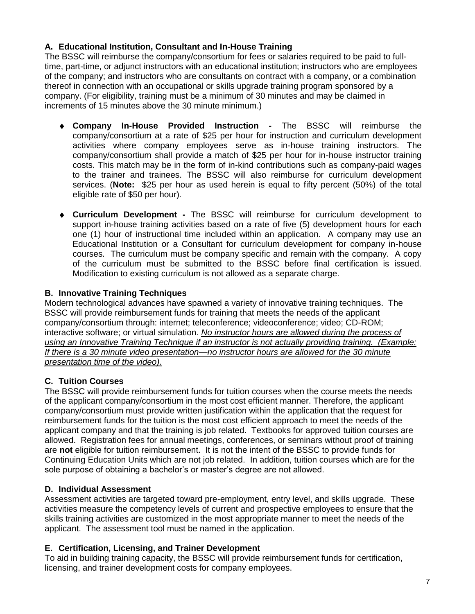## **A. Educational Institution, Consultant and In-House Training**

The BSSC will reimburse the company/consortium for fees or salaries required to be paid to fulltime, part-time, or adjunct instructors with an educational institution; instructors who are employees of the company; and instructors who are consultants on contract with a company, or a combination thereof in connection with an occupational or skills upgrade training program sponsored by a company. (For eligibility, training must be a minimum of 30 minutes and may be claimed in increments of 15 minutes above the 30 minute minimum.)

- **Company In-House Provided Instruction -** The BSSC will reimburse the company/consortium at a rate of \$25 per hour for instruction and curriculum development activities where company employees serve as in-house training instructors. The company/consortium shall provide a match of \$25 per hour for in-house instructor training costs. This match may be in the form of in-kind contributions such as company-paid wages to the trainer and trainees. The BSSC will also reimburse for curriculum development services. (**Note:** \$25 per hour as used herein is equal to fifty percent (50%) of the total eligible rate of \$50 per hour).
- **Curriculum Development -** The BSSC will reimburse for curriculum development to support in-house training activities based on a rate of five (5) development hours for each one (1) hour of instructional time included within an application. A company may use an Educational Institution or a Consultant for curriculum development for company in-house courses. The curriculum must be company specific and remain with the company. A copy of the curriculum must be submitted to the BSSC before final certification is issued. Modification to existing curriculum is not allowed as a separate charge.

## **B. Innovative Training Techniques**

Modern technological advances have spawned a variety of innovative training techniques. The BSSC will provide reimbursement funds for training that meets the needs of the applicant company/consortium through: internet; teleconference; videoconference; video; CD-ROM; interactive software; or virtual simulation. *No instructor hours are allowed during the process of using an Innovative Training Technique if an instructor is not actually providing training. (Example: If there is a 30 minute video presentation—no instructor hours are allowed for the 30 minute presentation time of the video).*

## **C. Tuition Courses**

The BSSC will provide reimbursement funds for tuition courses when the course meets the needs of the applicant company/consortium in the most cost efficient manner. Therefore, the applicant company/consortium must provide written justification within the application that the request for reimbursement funds for the tuition is the most cost efficient approach to meet the needs of the applicant company and that the training is job related. Textbooks for approved tuition courses are allowed. Registration fees for annual meetings, conferences, or seminars without proof of training are **not** eligible for tuition reimbursement. It is not the intent of the BSSC to provide funds for Continuing Education Units which are not job related. In addition, tuition courses which are for the sole purpose of obtaining a bachelor's or master's degree are not allowed.

## **D. Individual Assessment**

Assessment activities are targeted toward pre-employment, entry level, and skills upgrade. These activities measure the competency levels of current and prospective employees to ensure that the skills training activities are customized in the most appropriate manner to meet the needs of the applicant. The assessment tool must be named in the application.

## **E. Certification, Licensing, and Trainer Development**

To aid in building training capacity, the BSSC will provide reimbursement funds for certification, licensing, and trainer development costs for company employees.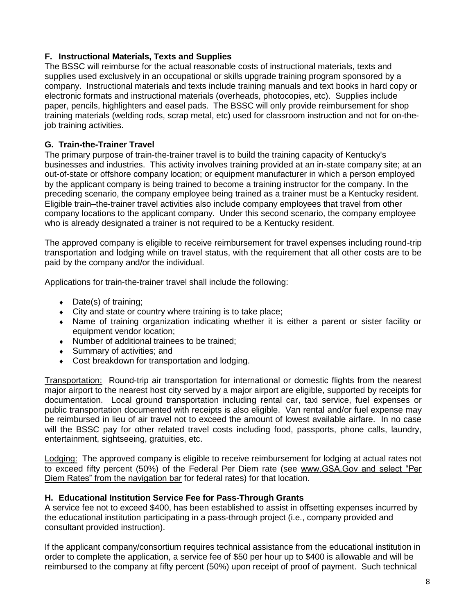## **F. Instructional Materials, Texts and Supplies**

The BSSC will reimburse for the actual reasonable costs of instructional materials, texts and supplies used exclusively in an occupational or skills upgrade training program sponsored by a company. Instructional materials and texts include training manuals and text books in hard copy or electronic formats and instructional materials (overheads, photocopies, etc). Supplies include paper, pencils, highlighters and easel pads. The BSSC will only provide reimbursement for shop training materials (welding rods, scrap metal, etc) used for classroom instruction and not for on-thejob training activities.

## **G. Train-the-Trainer Travel**

The primary purpose of train-the-trainer travel is to build the training capacity of Kentucky's businesses and industries. This activity involves training provided at an in-state company site; at an out-of-state or offshore company location; or equipment manufacturer in which a person employed by the applicant company is being trained to become a training instructor for the company. In the preceding scenario, the company employee being trained as a trainer must be a Kentucky resident. Eligible train–the-trainer travel activities also include company employees that travel from other company locations to the applicant company. Under this second scenario, the company employee who is already designated a trainer is not required to be a Kentucky resident.

The approved company is eligible to receive reimbursement for travel expenses including round-trip transportation and lodging while on travel status, with the requirement that all other costs are to be paid by the company and/or the individual.

Applications for train-the-trainer travel shall include the following:

- $\bullet$  Date(s) of training;
- City and state or country where training is to take place;
- Name of training organization indicating whether it is either a parent or sister facility or equipment vendor location;
- Number of additional trainees to be trained;
- Summary of activities; and
- Cost breakdown for transportation and lodging.

Transportation: Round-trip air transportation for international or domestic flights from the nearest major airport to the nearest host city served by a major airport are eligible, supported by receipts for documentation. Local ground transportation including rental car, taxi service, fuel expenses or public transportation documented with receipts is also eligible. Van rental and/or fuel expense may be reimbursed in lieu of air travel not to exceed the amount of lowest available airfare. In no case will the BSSC pay for other related travel costs including food, passports, phone calls, laundry, entertainment, sightseeing, gratuities, etc.

Lodging: The approved company is eligible to receive reimbursement for lodging at actual rates not to exceed fifty percent (50%) of the Federal Per Diem rate (see www.GSA.Gov and select "Per Diem Rates" from the navigation bar for federal rates) for that location.

## **H. Educational Institution Service Fee for Pass-Through Grants**

A service fee not to exceed \$400, has been established to assist in offsetting expenses incurred by the educational institution participating in a pass-through project (i.e., company provided and consultant provided instruction).

If the applicant company/consortium requires technical assistance from the educational institution in order to complete the application, a service fee of \$50 per hour up to \$400 is allowable and will be reimbursed to the company at fifty percent (50%) upon receipt of proof of payment. Such technical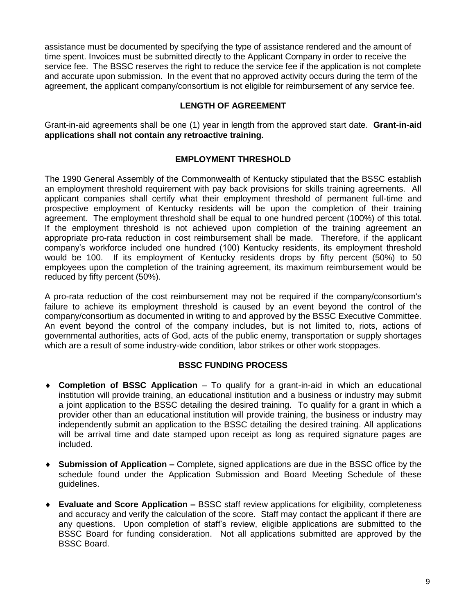assistance must be documented by specifying the type of assistance rendered and the amount of time spent. Invoices must be submitted directly to the Applicant Company in order to receive the service fee. The BSSC reserves the right to reduce the service fee if the application is not complete and accurate upon submission. In the event that no approved activity occurs during the term of the agreement, the applicant company/consortium is not eligible for reimbursement of any service fee.

## **LENGTH OF AGREEMENT**

Grant-in-aid agreements shall be one (1) year in length from the approved start date. **Grant-in-aid applications shall not contain any retroactive training.**

## **EMPLOYMENT THRESHOLD**

The 1990 General Assembly of the Commonwealth of Kentucky stipulated that the BSSC establish an employment threshold requirement with pay back provisions for skills training agreements. All applicant companies shall certify what their employment threshold of permanent full-time and prospective employment of Kentucky residents will be upon the completion of their training agreement. The employment threshold shall be equal to one hundred percent (100%) of this total. If the employment threshold is not achieved upon completion of the training agreement an appropriate pro-rata reduction in cost reimbursement shall be made. Therefore, if the applicant company's workforce included one hundred (100) Kentucky residents, its employment threshold would be 100. If its employment of Kentucky residents drops by fifty percent (50%) to 50 employees upon the completion of the training agreement, its maximum reimbursement would be reduced by fifty percent (50%).

A pro-rata reduction of the cost reimbursement may not be required if the company/consortium's failure to achieve its employment threshold is caused by an event beyond the control of the company/consortium as documented in writing to and approved by the BSSC Executive Committee. An event beyond the control of the company includes, but is not limited to, riots, actions of governmental authorities, acts of God, acts of the public enemy, transportation or supply shortages which are a result of some industry-wide condition, labor strikes or other work stoppages.

## **BSSC FUNDING PROCESS**

- **Completion of BSSC Application** To qualify for a grant-in-aid in which an educational institution will provide training, an educational institution and a business or industry may submit a joint application to the BSSC detailing the desired training. To qualify for a grant in which a provider other than an educational institution will provide training, the business or industry may independently submit an application to the BSSC detailing the desired training. All applications will be arrival time and date stamped upon receipt as long as required signature pages are included.
- **Submission of Application –** Complete, signed applications are due in the BSSC office by the schedule found under the Application Submission and Board Meeting Schedule of these guidelines.
- **Evaluate and Score Application –** BSSC staff review applications for eligibility, completeness and accuracy and verify the calculation of the score. Staff may contact the applicant if there are any questions. Upon completion of staff's review, eligible applications are submitted to the BSSC Board for funding consideration. Not all applications submitted are approved by the BSSC Board.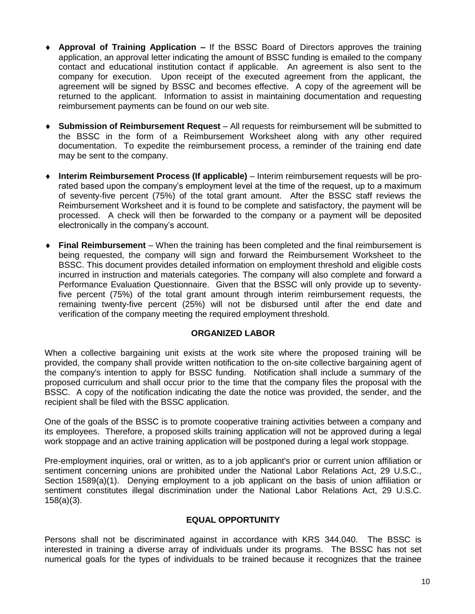- **Approval of Training Application –** If the BSSC Board of Directors approves the training application, an approval letter indicating the amount of BSSC funding is emailed to the company contact and educational institution contact if applicable. An agreement is also sent to the company for execution. Upon receipt of the executed agreement from the applicant, the agreement will be signed by BSSC and becomes effective. A copy of the agreement will be returned to the applicant. Information to assist in maintaining documentation and requesting reimbursement payments can be found on our web site.
- **Submission of Reimbursement Request** All requests for reimbursement will be submitted to the BSSC in the form of a Reimbursement Worksheet along with any other required documentation. To expedite the reimbursement process, a reminder of the training end date may be sent to the company.
- **Interim Reimbursement Process (If applicable)** Interim reimbursement requests will be prorated based upon the company's employment level at the time of the request, up to a maximum of seventy-five percent (75%) of the total grant amount. After the BSSC staff reviews the Reimbursement Worksheet and it is found to be complete and satisfactory, the payment will be processed. A check will then be forwarded to the company or a payment will be deposited electronically in the company's account.
- **Final Reimbursement**  When the training has been completed and the final reimbursement is being requested, the company will sign and forward the Reimbursement Worksheet to the BSSC. This document provides detailed information on employment threshold and eligible costs incurred in instruction and materials categories. The company will also complete and forward a Performance Evaluation Questionnaire. Given that the BSSC will only provide up to seventyfive percent (75%) of the total grant amount through interim reimbursement requests, the remaining twenty-five percent (25%) will not be disbursed until after the end date and verification of the company meeting the required employment threshold.

## **ORGANIZED LABOR**

When a collective bargaining unit exists at the work site where the proposed training will be provided, the company shall provide written notification to the on-site collective bargaining agent of the company's intention to apply for BSSC funding. Notification shall include a summary of the proposed curriculum and shall occur prior to the time that the company files the proposal with the BSSC. A copy of the notification indicating the date the notice was provided, the sender, and the recipient shall be filed with the BSSC application.

One of the goals of the BSSC is to promote cooperative training activities between a company and its employees. Therefore, a proposed skills training application will not be approved during a legal work stoppage and an active training application will be postponed during a legal work stoppage.

Pre-employment inquiries, oral or written, as to a job applicant's prior or current union affiliation or sentiment concerning unions are prohibited under the National Labor Relations Act, 29 U.S.C., Section 1589(a)(1). Denying employment to a job applicant on the basis of union affiliation or sentiment constitutes illegal discrimination under the National Labor Relations Act, 29 U.S.C. 158(a)(3).

## **EQUAL OPPORTUNITY**

Persons shall not be discriminated against in accordance with KRS 344.040. The BSSC is interested in training a diverse array of individuals under its programs. The BSSC has not set numerical goals for the types of individuals to be trained because it recognizes that the trainee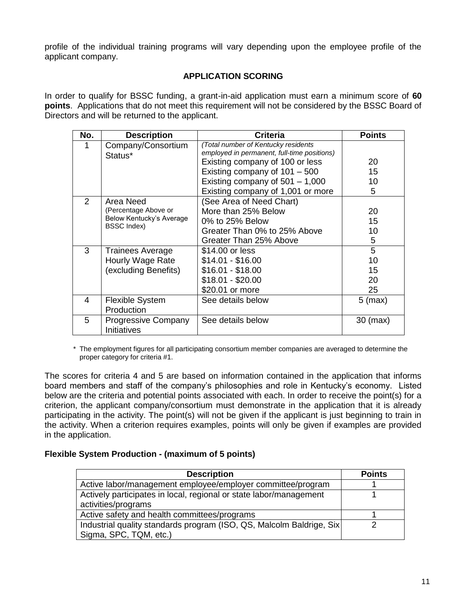profile of the individual training programs will vary depending upon the employee profile of the applicant company.

## **APPLICATION SCORING**

In order to qualify for BSSC funding, a grant-in-aid application must earn a minimum score of **60 points**. Applications that do not meet this requirement will not be considered by the BSSC Board of Directors and will be returned to the applicant.

| No. | <b>Description</b>                             | <b>Criteria</b>                                                                    | <b>Points</b>     |
|-----|------------------------------------------------|------------------------------------------------------------------------------------|-------------------|
|     | Company/Consortium<br>Status*                  | (Total number of Kentucky residents<br>employed in permanent, full-time positions) |                   |
|     |                                                | Existing company of 100 or less                                                    | 20                |
|     |                                                | Existing company of $101 - 500$                                                    | 15                |
|     |                                                | Existing company of $501 - 1,000$                                                  | 10                |
|     |                                                | Existing company of 1,001 or more                                                  | 5                 |
| 2   | Area Need                                      | (See Area of Need Chart)                                                           |                   |
|     | (Percentage Above or                           | More than 25% Below                                                                | 20                |
|     | Below Kentucky's Average<br><b>BSSC Index)</b> | 0% to 25% Below                                                                    | 15                |
|     |                                                | Greater Than 0% to 25% Above                                                       | 10                |
|     |                                                | Greater Than 25% Above                                                             | 5                 |
| 3   | <b>Trainees Average</b>                        | \$14.00 or less                                                                    | 5                 |
|     | Hourly Wage Rate                               | $$14.01 - $16.00$                                                                  | 10                |
|     | (excluding Benefits)                           | $$16.01 - $18.00$                                                                  | 15                |
|     |                                                | $$18.01 - $20.00$                                                                  | 20                |
|     |                                                | \$20.01 or more                                                                    | 25                |
| 4   | <b>Flexible System</b>                         | See details below                                                                  | $5 \text{ (max)}$ |
|     | Production                                     |                                                                                    |                   |
| 5   | <b>Progressive Company</b><br>Initiatives      | See details below                                                                  | 30 (max)          |

\* The employment figures for all participating consortium member companies are averaged to determine the proper category for criteria #1.

The scores for criteria 4 and 5 are based on information contained in the application that informs board members and staff of the company's philosophies and role in Kentucky's economy. Listed below are the criteria and potential points associated with each. In order to receive the point(s) for a criterion, the applicant company/consortium must demonstrate in the application that it is already participating in the activity. The point(s) will not be given if the applicant is just beginning to train in the activity. When a criterion requires examples, points will only be given if examples are provided in the application.

## **Flexible System Production - (maximum of 5 points)**

| <b>Description</b>                                                    | <b>Points</b> |
|-----------------------------------------------------------------------|---------------|
| Active labor/management employee/employer committee/program           |               |
| Actively participates in local, regional or state labor/management    |               |
| activities/programs                                                   |               |
| Active safety and health committees/programs                          |               |
| Industrial quality standards program (ISO, QS, Malcolm Baldrige, Six) |               |
| Sigma, SPC, TQM, etc.)                                                |               |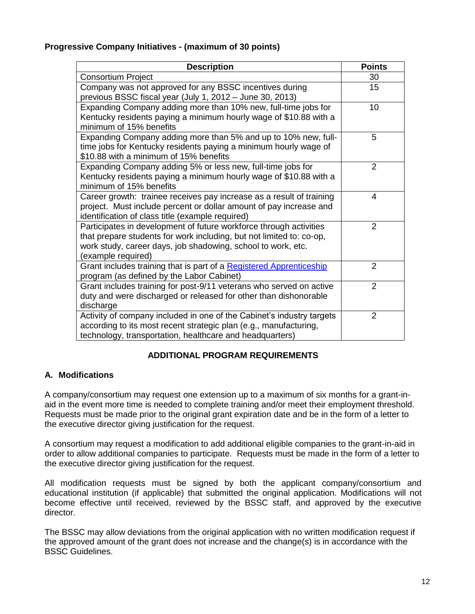## **Progressive Company Initiatives - (maximum of 30 points)**

| <b>Description</b>                                                                           | <b>Points</b>  |
|----------------------------------------------------------------------------------------------|----------------|
| <b>Consortium Project</b>                                                                    | 30             |
| Company was not approved for any BSSC incentives during                                      | 15             |
| previous BSSC fiscal year (July 1, 2012 - June 30, 2013)                                     |                |
| Expanding Company adding more than 10% new, full-time jobs for                               | 10             |
| Kentucky residents paying a minimum hourly wage of \$10.88 with a<br>minimum of 15% benefits |                |
| Expanding Company adding more than 5% and up to 10% new, full-                               | 5              |
| time jobs for Kentucky residents paying a minimum hourly wage of                             |                |
| \$10.88 with a minimum of 15% benefits                                                       |                |
| Expanding Company adding 5% or less new, full-time jobs for                                  | $\overline{2}$ |
| Kentucky residents paying a minimum hourly wage of \$10.88 with a                            |                |
| minimum of 15% benefits                                                                      |                |
| Career growth: trainee receives pay increase as a result of training                         | 4              |
| project. Must include percent or dollar amount of pay increase and                           |                |
| identification of class title (example required)                                             |                |
| Participates in development of future workforce through activities                           | $\overline{2}$ |
| that prepare students for work including, but not limited to: co-op,                         |                |
| work study, career days, job shadowing, school to work, etc.                                 |                |
| (example required)                                                                           |                |
| Grant includes training that is part of a Registered Apprenticeship                          | $\mathcal{P}$  |
| program (as defined by the Labor Cabinet)                                                    |                |
| Grant includes training for post-9/11 veterans who served on active                          | $\overline{2}$ |
| duty and were discharged or released for other than dishonorable                             |                |
| discharge                                                                                    |                |
| Activity of company included in one of the Cabinet's industry targets                        | $\overline{2}$ |
| according to its most recent strategic plan (e.g., manufacturing,                            |                |
| technology, transportation, healthcare and headquarters)                                     |                |

## **ADDITIONAL PROGRAM REQUIREMENTS**

## **A. Modifications**

A company/consortium may request one extension up to a maximum of six months for a grant-inaid in the event more time is needed to complete training and/or meet their employment threshold. Requests must be made prior to the original grant expiration date and be in the form of a letter to the executive director giving justification for the request.

A consortium may request a modification to add additional eligible companies to the grant-in-aid in order to allow additional companies to participate. Requests must be made in the form of a letter to the executive director giving justification for the request.

All modification requests must be signed by both the applicant company/consortium and educational institution (if applicable) that submitted the original application. Modifications will not become effective until received, reviewed by the BSSC staff, and approved by the executive director.

The BSSC may allow deviations from the original application with no written modification request if the approved amount of the grant does not increase and the change(s) is in accordance with the BSSC Guidelines.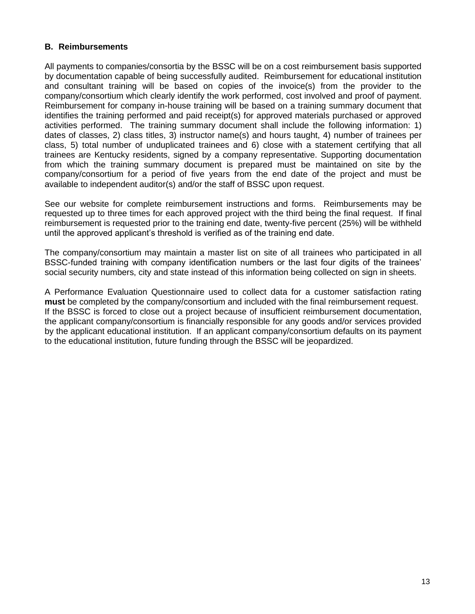## **B. Reimbursements**

All payments to companies/consortia by the BSSC will be on a cost reimbursement basis supported by documentation capable of being successfully audited. Reimbursement for educational institution and consultant training will be based on copies of the invoice(s) from the provider to the company/consortium which clearly identify the work performed, cost involved and proof of payment. Reimbursement for company in-house training will be based on a training summary document that identifies the training performed and paid receipt(s) for approved materials purchased or approved activities performed. The training summary document shall include the following information: 1) dates of classes, 2) class titles, 3) instructor name(s) and hours taught, 4) number of trainees per class, 5) total number of unduplicated trainees and 6) close with a statement certifying that all trainees are Kentucky residents, signed by a company representative. Supporting documentation from which the training summary document is prepared must be maintained on site by the company/consortium for a period of five years from the end date of the project and must be available to independent auditor(s) and/or the staff of BSSC upon request.

See our website for complete reimbursement instructions and forms. Reimbursements may be requested up to three times for each approved project with the third being the final request. If final reimbursement is requested prior to the training end date, twenty-five percent (25%) will be withheld until the approved applicant's threshold is verified as of the training end date.

The company/consortium may maintain a master list on site of all trainees who participated in all BSSC-funded training with company identification numbers or the last four digits of the trainees' social security numbers, city and state instead of this information being collected on sign in sheets.

A Performance Evaluation Questionnaire used to collect data for a customer satisfaction rating **must** be completed by the company/consortium and included with the final reimbursement request. If the BSSC is forced to close out a project because of insufficient reimbursement documentation, the applicant company/consortium is financially responsible for any goods and/or services provided by the applicant educational institution. If an applicant company/consortium defaults on its payment to the educational institution, future funding through the BSSC will be jeopardized.